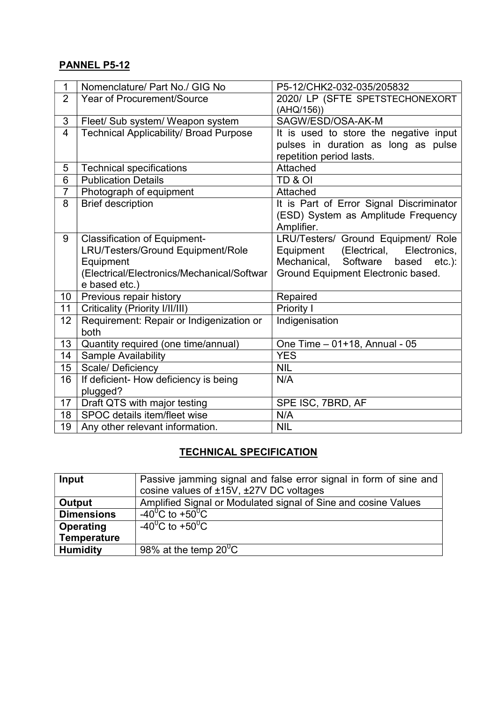## PANNEL P5-12

| 1              | Nomenclature/ Part No./ GIG No                | P5-12/CHK2-032-035/205832                     |
|----------------|-----------------------------------------------|-----------------------------------------------|
| $\overline{2}$ | <b>Year of Procurement/Source</b>             | 2020/ LP (SFTE SPETSTECHONEXORT               |
|                |                                               | (AHQ/156))                                    |
| 3              | Fleet/ Sub system/ Weapon system              | SAGW/ESD/OSA-AK-M                             |
| $\overline{4}$ | <b>Technical Applicability/ Broad Purpose</b> | It is used to store the negative input        |
|                |                                               | pulses in duration as long as pulse           |
|                |                                               | repetition period lasts.                      |
| 5              | <b>Technical specifications</b>               | Attached                                      |
| 6              | <b>Publication Details</b>                    | TD & OI                                       |
| $\overline{7}$ | Photograph of equipment                       | Attached                                      |
| 8              | <b>Brief description</b>                      | It is Part of Error Signal Discriminator      |
|                |                                               | (ESD) System as Amplitude Frequency           |
|                |                                               | Amplifier.                                    |
| 9              | <b>Classification of Equipment-</b>           | LRU/Testers/ Ground Equipment/ Role           |
|                | LRU/Testers/Ground Equipment/Role             | Electronics,<br>(Electrical,<br>Equipment     |
|                | Equipment                                     | Software<br>Mechanical,<br>based<br>$etc.$ ): |
|                | (Electrical/Electronics/Mechanical/Softwar    | Ground Equipment Electronic based.            |
|                | e based etc.)                                 |                                               |
| 10             | Previous repair history                       | Repaired                                      |
| 11             | Criticality (Priority I/II/III)               | Priority I                                    |
| 12             | Requirement: Repair or Indigenization or      | Indigenisation                                |
|                | both                                          |                                               |
| 13             | Quantity required (one time/annual)           | One Time - 01+18, Annual - 05                 |
| 14             | Sample Availability                           | <b>YES</b>                                    |
| 15             | Scale/Deficiency                              | <b>NIL</b>                                    |
| 16             | If deficient- How deficiency is being         | N/A                                           |
|                | plugged?                                      |                                               |
| 17             | Draft QTS with major testing                  | SPE ISC, 7BRD, AF                             |
| 18             | SPOC details item/fleet wise                  | N/A                                           |
| 19             | Any other relevant information.               | <b>NIL</b>                                    |

## TECHNICAL SPECIFICATION

| Input              | Passive jamming signal and false error signal in form of sine and |  |
|--------------------|-------------------------------------------------------------------|--|
|                    | cosine values of ±15V, ±27V DC voltages                           |  |
| Output             | Amplified Signal or Modulated signal of Sine and cosine Values    |  |
| <b>Dimensions</b>  | -40 <sup>0</sup> C to +50 <sup>0</sup> C                          |  |
| Operating          | $-40^0C$ to $+50^0C$                                              |  |
| <b>Temperature</b> |                                                                   |  |
| <b>Humidity</b>    | 98% at the temp $20^0C$                                           |  |